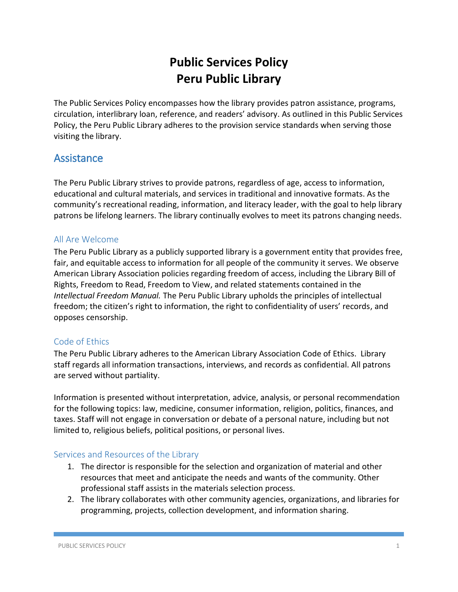# **Public Services Policy Peru Public Library**

The Public Services Policy encompasses how the library provides patron assistance, programs, circulation, interlibrary loan, reference, and readers' advisory. As outlined in this Public Services Policy, the Peru Public Library adheres to the provision service standards when serving those visiting the library.

## **Assistance**

The Peru Public Library strives to provide patrons, regardless of age, access to information, educational and cultural materials, and services in traditional and innovative formats. As the community's recreational reading, information, and literacy leader, with the goal to help library patrons be lifelong learners. The library continually evolves to meet its patrons changing needs.

### All Are Welcome

The Peru Public Library as a publicly supported library is a government entity that provides free, fair, and equitable access to information for all people of the community it serves. We observe American Library Association policies regarding freedom of access, including the Library Bill of Rights, Freedom to Read, Freedom to View, and related statements contained in the *Intellectual Freedom Manual.* The Peru Public Library upholds the principles of intellectual freedom; the citizen's right to information, the right to confidentiality of users' records, and opposes censorship.

## Code of Ethics

The Peru Public Library adheres to the American Library Association Code of Ethics. Library staff regards all information transactions, interviews, and records as confidential. All patrons are served without partiality.

Information is presented without interpretation, advice, analysis, or personal recommendation for the following topics: law, medicine, consumer information, religion, politics, finances, and taxes. Staff will not engage in conversation or debate of a personal nature, including but not limited to, religious beliefs, political positions, or personal lives.

### Services and Resources of the Library

- 1. The director is responsible for the selection and organization of material and other resources that meet and anticipate the needs and wants of the community. Other professional staff assists in the materials selection process.
- 2. The library collaborates with other community agencies, organizations, and libraries for programming, projects, collection development, and information sharing.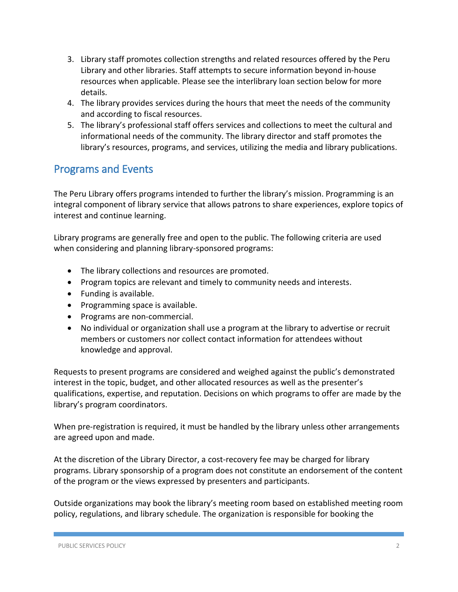- 3. Library staff promotes collection strengths and related resources offered by the Peru Library and other libraries. Staff attempts to secure information beyond in-house resources when applicable. Please see the interlibrary loan section below for more details.
- 4. The library provides services during the hours that meet the needs of the community and according to fiscal resources.
- 5. The library's professional staff offers services and collections to meet the cultural and informational needs of the community. The library director and staff promotes the library's resources, programs, and services, utilizing the media and library publications.

## Programs and Events

The Peru Library offers programs intended to further the library's mission. Programming is an integral component of library service that allows patrons to share experiences, explore topics of interest and continue learning.

Library programs are generally free and open to the public. The following criteria are used when considering and planning library-sponsored programs:

- The library collections and resources are promoted.
- Program topics are relevant and timely to community needs and interests.
- Funding is available.
- Programming space is available.
- Programs are non-commercial.
- No individual or organization shall use a program at the library to advertise or recruit members or customers nor collect contact information for attendees without knowledge and approval.

Requests to present programs are considered and weighed against the public's demonstrated interest in the topic, budget, and other allocated resources as well as the presenter's qualifications, expertise, and reputation. Decisions on which programs to offer are made by the library's program coordinators.

When pre-registration is required, it must be handled by the library unless other arrangements are agreed upon and made.

At the discretion of the Library Director, a cost-recovery fee may be charged for library programs. Library sponsorship of a program does not constitute an endorsement of the content of the program or the views expressed by presenters and participants.

Outside organizations may book the library's meeting room based on established meeting room policy, regulations, and library schedule. The organization is responsible for booking the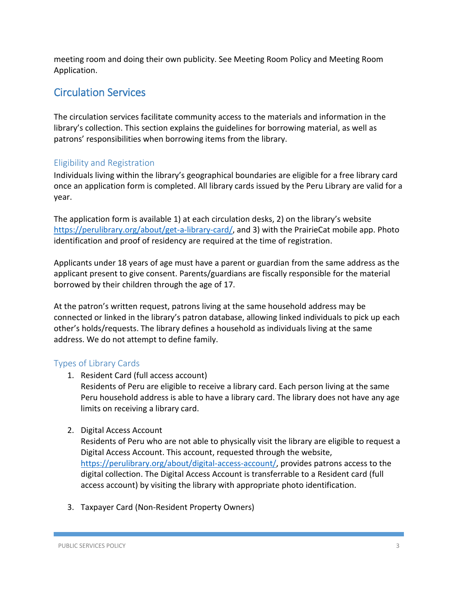meeting room and doing their own publicity. See Meeting Room Policy and Meeting Room Application.

## Circulation Services

The circulation services facilitate community access to the materials and information in the library's collection. This section explains the guidelines for borrowing material, as well as patrons' responsibilities when borrowing items from the library.

### Eligibility and Registration

Individuals living within the library's geographical boundaries are eligible for a free library card once an application form is completed. All library cards issued by the Peru Library are valid for a year.

The application form is available 1) at each circulation desks, 2) on the library's website [https://perulibrary.org/about/get-a-library-card/,](https://perulibrary.org/about/get-a-library-card/) and 3) with the PrairieCat mobile app. Photo identification and proof of residency are required at the time of registration.

Applicants under 18 years of age must have a parent or guardian from the same address as the applicant present to give consent. Parents/guardians are fiscally responsible for the material borrowed by their children through the age of 17.

At the patron's written request, patrons living at the same household address may be connected or linked in the library's patron database, allowing linked individuals to pick up each other's holds/requests. The library defines a household as individuals living at the same address. We do not attempt to define family.

## Types of Library Cards

1. Resident Card (full access account)

Residents of Peru are eligible to receive a library card. Each person living at the same Peru household address is able to have a library card. The library does not have any age limits on receiving a library card.

2. Digital Access Account

Residents of Peru who are not able to physically visit the library are eligible to request a Digital Access Account. This account, requested through the website, [https://perulibrary.org/about/digital-access-account/,](https://perulibrary.org/about/digital-access-account/) provides patrons access to the digital collection. The Digital Access Account is transferrable to a Resident card (full access account) by visiting the library with appropriate photo identification.

3. Taxpayer Card (Non-Resident Property Owners)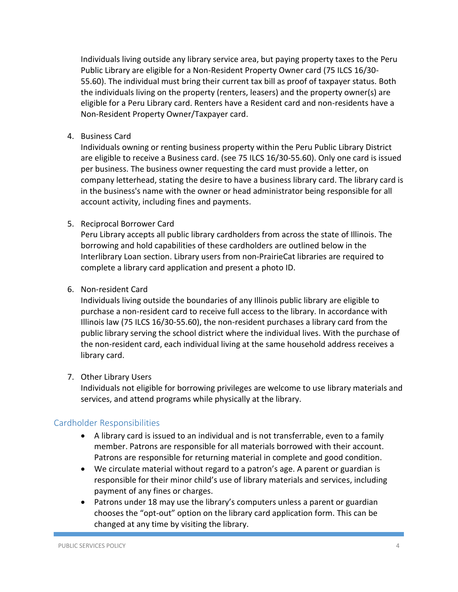Individuals living outside any library service area, but paying property taxes to the Peru Public Library are eligible for a Non-Resident Property Owner card (75 ILCS 16/30- 55.60). The individual must bring their current tax bill as proof of taxpayer status. Both the individuals living on the property (renters, leasers) and the property owner(s) are eligible for a Peru Library card. Renters have a Resident card and non-residents have a Non-Resident Property Owner/Taxpayer card.

4. Business Card

Individuals owning or renting business property within the Peru Public Library District are eligible to receive a Business card. (see 75 ILCS 16/30-55.60). Only one card is issued per business. The business owner requesting the card must provide a letter, on company letterhead, stating the desire to have a business library card. The library card is in the business's name with the owner or head administrator being responsible for all account activity, including fines and payments.

5. Reciprocal Borrower Card

Peru Library accepts all public library cardholders from across the state of Illinois. The borrowing and hold capabilities of these cardholders are outlined below in the Interlibrary Loan section. Library users from non-PrairieCat libraries are required to complete a library card application and present a photo ID.

#### 6. Non-resident Card

Individuals living outside the boundaries of any Illinois public library are eligible to purchase a non-resident card to receive full access to the library. In accordance with Illinois law (75 ILCS 16/30-55.60), the non-resident purchases a library card from the public library serving the school district where the individual lives. With the purchase of the non-resident card, each individual living at the same household address receives a library card.

#### 7. Other Library Users

Individuals not eligible for borrowing privileges are welcome to use library materials and services, and attend programs while physically at the library.

### Cardholder Responsibilities

- A library card is issued to an individual and is not transferrable, even to a family member. Patrons are responsible for all materials borrowed with their account. Patrons are responsible for returning material in complete and good condition.
- We circulate material without regard to a patron's age. A parent or guardian is responsible for their minor child's use of library materials and services, including payment of any fines or charges.
- Patrons under 18 may use the library's computers unless a parent or guardian chooses the "opt-out" option on the library card application form. This can be changed at any time by visiting the library.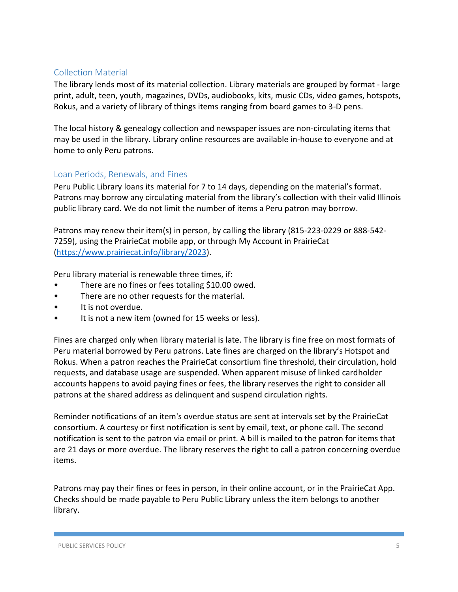### Collection Material

The library lends most of its material collection. Library materials are grouped by format - large print, adult, teen, youth, magazines, DVDs, audiobooks, kits, music CDs, video games, hotspots, Rokus, and a variety of library of things items ranging from board games to 3-D pens.

The local history & genealogy collection and newspaper issues are non-circulating items that may be used in the library. Library online resources are available in-house to everyone and at home to only Peru patrons.

### Loan Periods, Renewals, and Fines

Peru Public Library loans its material for 7 to 14 days, depending on the material's format. Patrons may borrow any circulating material from the library's collection with their valid Illinois public library card. We do not limit the number of items a Peru patron may borrow.

Patrons may renew their item(s) in person, by calling the library (815-223-0229 or 888-542- 7259), using the PrairieCat mobile app, or through My Account in PrairieCat [\(https://www.prairiecat.info/library/2023\)](https://www.prairiecat.info/library/2023).

Peru library material is renewable three times, if:

- There are no fines or fees totaling \$10.00 owed.
- There are no other requests for the material.
- It is not overdue.
- It is not a new item (owned for 15 weeks or less).

Fines are charged only when library material is late. The library is fine free on most formats of Peru material borrowed by Peru patrons. Late fines are charged on the library's Hotspot and Rokus. When a patron reaches the PrairieCat consortium fine threshold, their circulation, hold requests, and database usage are suspended. When apparent misuse of linked cardholder accounts happens to avoid paying fines or fees, the library reserves the right to consider all patrons at the shared address as delinquent and suspend circulation rights.

Reminder notifications of an item's overdue status are sent at intervals set by the PrairieCat consortium. A courtesy or first notification is sent by email, text, or phone call. The second notification is sent to the patron via email or print. A bill is mailed to the patron for items that are 21 days or more overdue. The library reserves the right to call a patron concerning overdue items.

Patrons may pay their fines or fees in person, in their online account, or in the PrairieCat App. Checks should be made payable to Peru Public Library unless the item belongs to another library.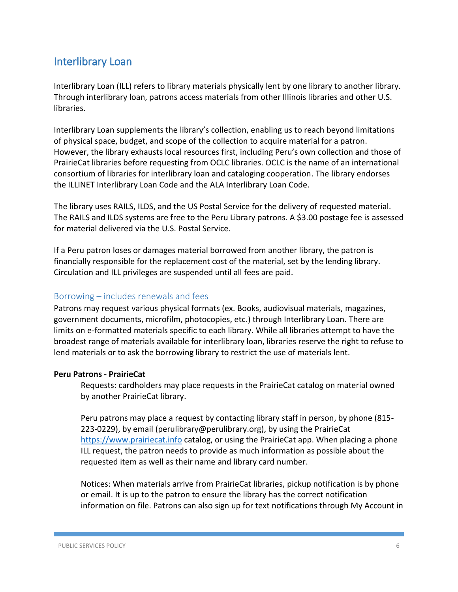## Interlibrary Loan

Interlibrary Loan (ILL) refers to library materials physically lent by one library to another library. Through interlibrary loan, patrons access materials from other Illinois libraries and other U.S. libraries.

Interlibrary Loan supplements the library's collection, enabling us to reach beyond limitations of physical space, budget, and scope of the collection to acquire material for a patron. However, the library exhausts local resources first, including Peru's own collection and those of PrairieCat libraries before requesting from OCLC libraries. OCLC is the name of an international consortium of libraries for interlibrary loan and cataloging cooperation. The library endorses the ILLINET Interlibrary Loan Code and the ALA Interlibrary Loan Code.

The library uses RAILS, ILDS, and the US Postal Service for the delivery of requested material. The RAILS and ILDS systems are free to the Peru Library patrons. A \$3.00 postage fee is assessed for material delivered via the U.S. Postal Service.

If a Peru patron loses or damages material borrowed from another library, the patron is financially responsible for the replacement cost of the material, set by the lending library. Circulation and ILL privileges are suspended until all fees are paid.

### Borrowing – includes renewals and fees

Patrons may request various physical formats (ex. Books, audiovisual materials, magazines, government documents, microfilm, photocopies, etc.) through Interlibrary Loan. There are limits on e-formatted materials specific to each library. While all libraries attempt to have the broadest range of materials available for interlibrary loan, libraries reserve the right to refuse to lend materials or to ask the borrowing library to restrict the use of materials lent.

#### **Peru Patrons - PrairieCat**

Requests: cardholders may place requests in the PrairieCat catalog on material owned by another PrairieCat library.

Peru patrons may place a request by contacting library staff in person, by phone (815- 223-0229), by email (perulibrary@perulibrary.org), by using the PrairieCat [https://www.prairiecat.info](https://www.prairiecat.info/) catalog, or using the PrairieCat app. When placing a phone ILL request, the patron needs to provide as much information as possible about the requested item as well as their name and library card number.

Notices: When materials arrive from PrairieCat libraries, pickup notification is by phone or email. It is up to the patron to ensure the library has the correct notification information on file. Patrons can also sign up for text notifications through My Account in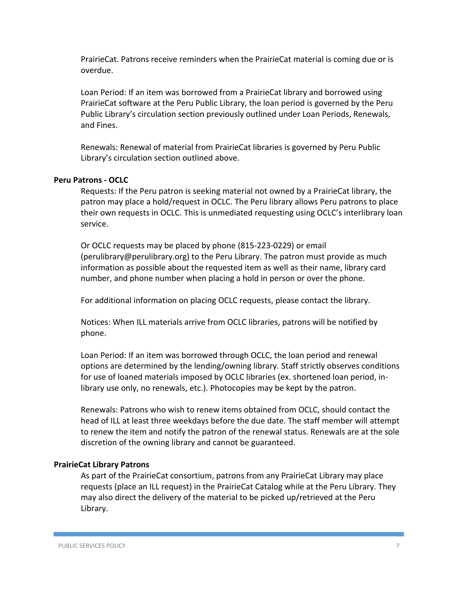PrairieCat. Patrons receive reminders when the PrairieCat material is coming due or is overdue.

Loan Period: If an item was borrowed from a PrairieCat library and borrowed using PrairieCat software at the Peru Public Library, the loan period is governed by the Peru Public Library's circulation section previously outlined under Loan Periods, Renewals, and Fines.

Renewals: Renewal of material from PrairieCat libraries is governed by Peru Public Library's circulation section outlined above.

#### **Peru Patrons - OCLC**

Requests: If the Peru patron is seeking material not owned by a PrairieCat library, the patron may place a hold/request in OCLC. The Peru library allows Peru patrons to place their own requests in OCLC. This is unmediated requesting using OCLC's interlibrary loan service.

Or OCLC requests may be placed by phone (815-223-0229) or email (perulibrary@perulibrary.org) to the Peru Library. The patron must provide as much information as possible about the requested item as well as their name, library card number, and phone number when placing a hold in person or over the phone.

For additional information on placing OCLC requests, please contact the library.

Notices: When ILL materials arrive from OCLC libraries, patrons will be notified by phone.

Loan Period: If an item was borrowed through OCLC, the loan period and renewal options are determined by the lending/owning library. Staff strictly observes conditions for use of loaned materials imposed by OCLC libraries (ex. shortened loan period, inlibrary use only, no renewals, etc.). Photocopies may be kept by the patron.

Renewals: Patrons who wish to renew items obtained from OCLC, should contact the head of ILL at least three weekdays before the due date. The staff member will attempt to renew the item and notify the patron of the renewal status. Renewals are at the sole discretion of the owning library and cannot be guaranteed.

#### **PrairieCat Library Patrons**

As part of the PrairieCat consortium, patrons from any PrairieCat Library may place requests (place an ILL request) in the PrairieCat Catalog while at the Peru Library. They may also direct the delivery of the material to be picked up/retrieved at the Peru Library.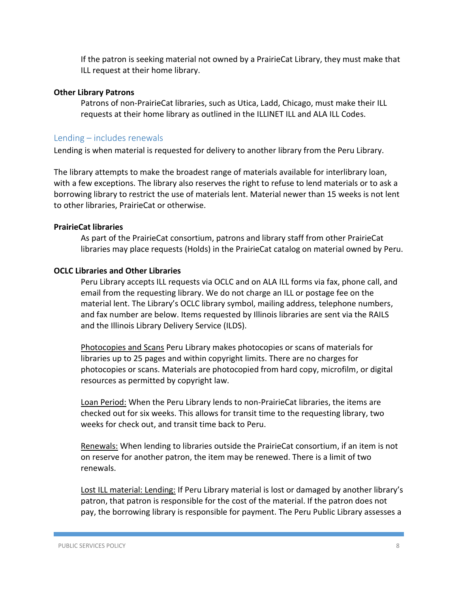If the patron is seeking material not owned by a PrairieCat Library, they must make that ILL request at their home library.

#### **Other Library Patrons**

Patrons of non-PrairieCat libraries, such as Utica, Ladd, Chicago, must make their ILL requests at their home library as outlined in the ILLINET ILL and ALA ILL Codes.

#### Lending – includes renewals

Lending is when material is requested for delivery to another library from the Peru Library.

The library attempts to make the broadest range of materials available for interlibrary loan, with a few exceptions. The library also reserves the right to refuse to lend materials or to ask a borrowing library to restrict the use of materials lent. Material newer than 15 weeks is not lent to other libraries, PrairieCat or otherwise.

#### **PrairieCat libraries**

As part of the PrairieCat consortium, patrons and library staff from other PrairieCat libraries may place requests (Holds) in the PrairieCat catalog on material owned by Peru.

#### **OCLC Libraries and Other Libraries**

Peru Library accepts ILL requests via OCLC and on ALA ILL forms via fax, phone call, and email from the requesting library. We do not charge an ILL or postage fee on the material lent. The Library's OCLC library symbol, mailing address, telephone numbers, and fax number are below. Items requested by Illinois libraries are sent via the RAILS and the Illinois Library Delivery Service (ILDS).

Photocopies and Scans Peru Library makes photocopies or scans of materials for libraries up to 25 pages and within copyright limits. There are no charges for photocopies or scans. Materials are photocopied from hard copy, microfilm, or digital resources as permitted by copyright law.

Loan Period: When the Peru Library lends to non-PrairieCat libraries, the items are checked out for six weeks. This allows for transit time to the requesting library, two weeks for check out, and transit time back to Peru.

Renewals: When lending to libraries outside the PrairieCat consortium, if an item is not on reserve for another patron, the item may be renewed. There is a limit of two renewals.

Lost ILL material: Lending: If Peru Library material is lost or damaged by another library's patron, that patron is responsible for the cost of the material. If the patron does not pay, the borrowing library is responsible for payment. The Peru Public Library assesses a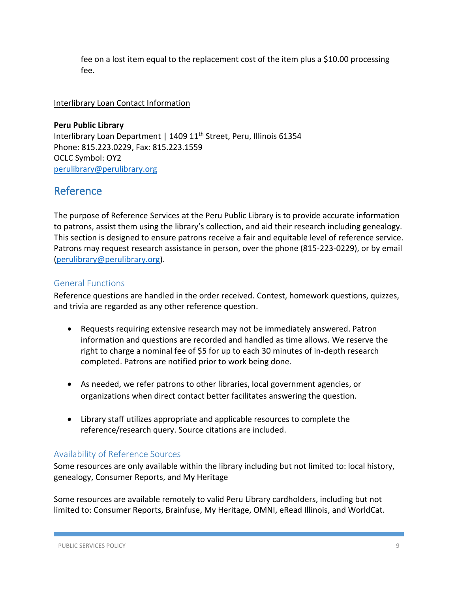fee on a lost item equal to the replacement cost of the item plus a \$10.00 processing fee.

#### Interlibrary Loan Contact Information

**Peru Public Library** Interlibrary Loan Department | 1409 11<sup>th</sup> Street, Peru, Illinois 61354 Phone: 815.223.0229, Fax: 815.223.1559 OCLC Symbol: OY2 [perulibrary@perulibrary.org](mailto:perulibrary@perulibrary.org)

## Reference

The purpose of Reference Services at the Peru Public Library is to provide accurate information to patrons, assist them using the library's collection, and aid their research including genealogy. This section is designed to ensure patrons receive a fair and equitable level of reference service. Patrons may request research assistance in person, over the phone (815-223-0229), or by email [\(perulibrary@perulibrary.org\)](mailto:perulibrary@perulibrary.org).

### General Functions

Reference questions are handled in the order received. Contest, homework questions, quizzes, and trivia are regarded as any other reference question.

- Requests requiring extensive research may not be immediately answered. Patron information and questions are recorded and handled as time allows. We reserve the right to charge a nominal fee of \$5 for up to each 30 minutes of in-depth research completed. Patrons are notified prior to work being done.
- As needed, we refer patrons to other libraries, local government agencies, or organizations when direct contact better facilitates answering the question.
- Library staff utilizes appropriate and applicable resources to complete the reference/research query. Source citations are included.

### Availability of Reference Sources

Some resources are only available within the library including but not limited to: local history, genealogy, Consumer Reports, and My Heritage

Some resources are available remotely to valid Peru Library cardholders, including but not limited to: Consumer Reports, Brainfuse, My Heritage, OMNI, eRead Illinois, and WorldCat.